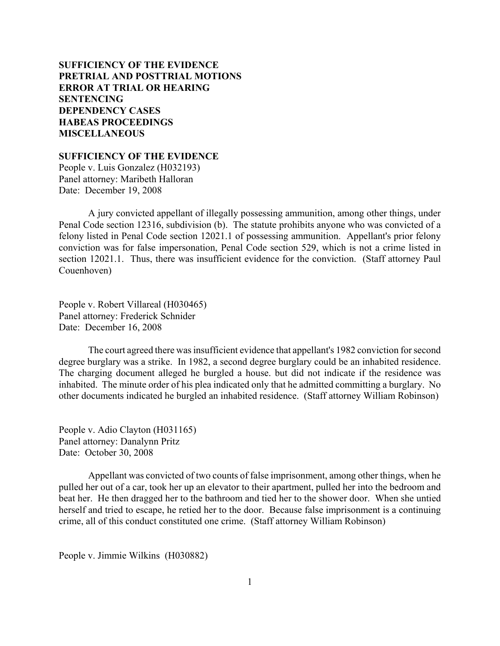# **SUFFICIENCY OF THE EVIDENCE [PRETRIAL AND POSTTRIAL MOTIONS](#page-2-0) [ERROR AT TRIAL OR HEARING](#page-3-0) [SENTENCING](#page-11-0) [DEPENDENCY CASES](#page-25-0) [HABEAS PROCEEDINGS](#page-27-0)  [MISCELLANEOUS](#page-30-0)**

**SUFFICIENCY OF THE EVIDENCE**

People v. Luis Gonzalez (H032193) Panel attorney: Maribeth Halloran Date: December 19, 2008

A jury convicted appellant of illegally possessing ammunition, among other things, under Penal Code section 12316, subdivision (b). The statute prohibits anyone who was convicted of a felony listed in Penal Code section 12021.1 of possessing ammunition. Appellant's prior felony conviction was for false impersonation, Penal Code section 529, which is not a crime listed in section 12021.1. Thus, there was insufficient evidence for the conviction. (Staff attorney Paul Couenhoven)

People v. Robert Villareal (H030465) Panel attorney: Frederick Schnider Date: December 16, 2008

The court agreed there was insufficient evidence that appellant's 1982 conviction for second degree burglary was a strike. In 1982, a second degree burglary could be an inhabited residence. The charging document alleged he burgled a house. but did not indicate if the residence was inhabited. The minute order of his plea indicated only that he admitted committing a burglary. No other documents indicated he burgled an inhabited residence. (Staff attorney William Robinson)

People v. Adio Clayton (H031165) Panel attorney: Danalynn Pritz Date: October 30, 2008

Appellant was convicted of two counts of false imprisonment, among other things, when he pulled her out of a car, took her up an elevator to their apartment, pulled her into the bedroom and beat her. He then dragged her to the bathroom and tied her to the shower door. When she untied herself and tried to escape, he retied her to the door. Because false imprisonment is a continuing crime, all of this conduct constituted one crime. (Staff attorney William Robinson)

People v. Jimmie Wilkins (H030882)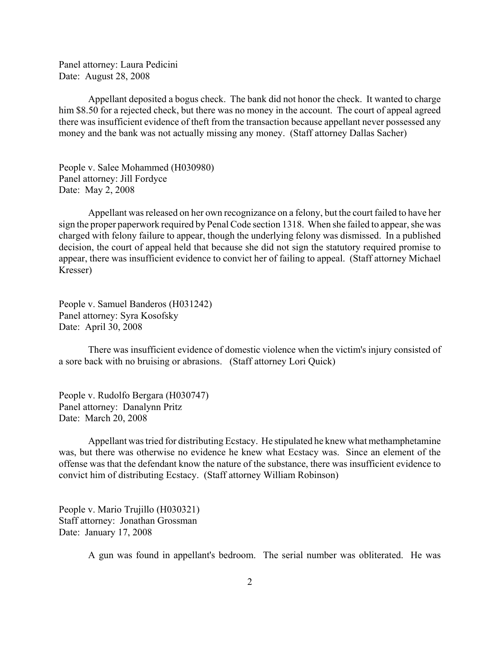Panel attorney: Laura Pedicini Date: August 28, 2008

Appellant deposited a bogus check. The bank did not honor the check. It wanted to charge him \$8.50 for a rejected check, but there was no money in the account. The court of appeal agreed there was insufficient evidence of theft from the transaction because appellant never possessed any money and the bank was not actually missing any money. (Staff attorney Dallas Sacher)

People v. Salee Mohammed (H030980) Panel attorney: Jill Fordyce Date: May 2, 2008

Appellant was released on her own recognizance on a felony, but the court failed to have her sign the proper paperwork required by Penal Code section 1318. When she failed to appear, she was charged with felony failure to appear, though the underlying felony was dismissed. In a published decision, the court of appeal held that because she did not sign the statutory required promise to appear, there was insufficient evidence to convict her of failing to appeal. (Staff attorney Michael Kresser)

People v. Samuel Banderos (H031242) Panel attorney: Syra Kosofsky Date: April 30, 2008

There was insufficient evidence of domestic violence when the victim's injury consisted of a sore back with no bruising or abrasions. (Staff attorney Lori Quick)

People v. Rudolfo Bergara (H030747) Panel attorney: Danalynn Pritz Date: March 20, 2008

Appellant was tried for distributing Ecstacy. He stipulated he knew what methamphetamine was, but there was otherwise no evidence he knew what Ecstacy was. Since an element of the offense was that the defendant know the nature of the substance, there was insufficient evidence to convict him of distributing Ecstacy. (Staff attorney William Robinson)

People v. Mario Trujillo (H030321) Staff attorney: Jonathan Grossman Date: January 17, 2008

A gun was found in appellant's bedroom. The serial number was obliterated. He was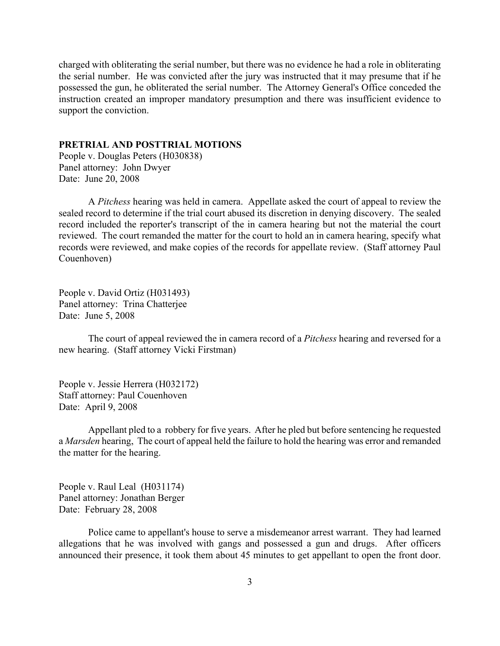<span id="page-2-0"></span>charged with obliterating the serial number, but there was no evidence he had a role in obliterating the serial number. He was convicted after the jury was instructed that it may presume that if he possessed the gun, he obliterated the serial number. The Attorney General's Office conceded the instruction created an improper mandatory presumption and there was insufficient evidence to support the conviction.

#### **PRETRIAL AND POSTTRIAL MOTIONS**

People v. Douglas Peters (H030838) Panel attorney: John Dwyer Date: June 20, 2008

A *Pitchess* hearing was held in camera. Appellate asked the court of appeal to review the sealed record to determine if the trial court abused its discretion in denying discovery. The sealed record included the reporter's transcript of the in camera hearing but not the material the court reviewed. The court remanded the matter for the court to hold an in camera hearing, specify what records were reviewed, and make copies of the records for appellate review. (Staff attorney Paul Couenhoven)

People v. David Ortiz (H031493) Panel attorney: Trina Chatterjee Date: June 5, 2008

The court of appeal reviewed the in camera record of a *Pitchess* hearing and reversed for a new hearing. (Staff attorney Vicki Firstman)

People v. Jessie Herrera (H032172) Staff attorney: Paul Couenhoven Date: April 9, 2008

Appellant pled to a robbery for five years. After he pled but before sentencing he requested a *Marsden* hearing, The court of appeal held the failure to hold the hearing was error and remanded the matter for the hearing.

People v. Raul Leal (H031174) Panel attorney: Jonathan Berger Date: February 28, 2008

Police came to appellant's house to serve a misdemeanor arrest warrant. They had learned allegations that he was involved with gangs and possessed a gun and drugs. After officers announced their presence, it took them about 45 minutes to get appellant to open the front door.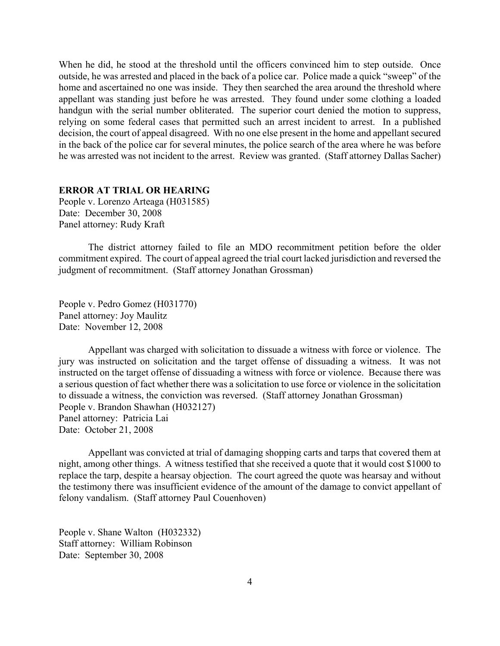<span id="page-3-0"></span>When he did, he stood at the threshold until the officers convinced him to step outside. Once outside, he was arrested and placed in the back of a police car. Police made a quick "sweep" of the home and ascertained no one was inside. They then searched the area around the threshold where appellant was standing just before he was arrested. They found under some clothing a loaded handgun with the serial number obliterated. The superior court denied the motion to suppress, relying on some federal cases that permitted such an arrest incident to arrest. In a published decision, the court of appeal disagreed. With no one else present in the home and appellant secured in the back of the police car for several minutes, the police search of the area where he was before he was arrested was not incident to the arrest. Review was granted. (Staff attorney Dallas Sacher)

#### **ERROR AT TRIAL OR HEARING**

People v. Lorenzo Arteaga (H031585) Date: December 30, 2008 Panel attorney: Rudy Kraft

The district attorney failed to file an MDO recommitment petition before the older commitment expired. The court of appeal agreed the trial court lacked jurisdiction and reversed the judgment of recommitment. (Staff attorney Jonathan Grossman)

People v. Pedro Gomez (H031770) Panel attorney: Joy Maulitz Date: November 12, 2008

Appellant was charged with solicitation to dissuade a witness with force or violence. The jury was instructed on solicitation and the target offense of dissuading a witness. It was not instructed on the target offense of dissuading a witness with force or violence. Because there was a serious question of fact whether there was a solicitation to use force or violence in the solicitation to dissuade a witness, the conviction was reversed. (Staff attorney Jonathan Grossman) People v. Brandon Shawhan (H032127) Panel attorney: Patricia Lai Date: October 21, 2008

Appellant was convicted at trial of damaging shopping carts and tarps that covered them at night, among other things. A witness testified that she received a quote that it would cost \$1000 to replace the tarp, despite a hearsay objection. The court agreed the quote was hearsay and without the testimony there was insufficient evidence of the amount of the damage to convict appellant of felony vandalism. (Staff attorney Paul Couenhoven)

People v. Shane Walton (H032332) Staff attorney: William Robinson Date: September 30, 2008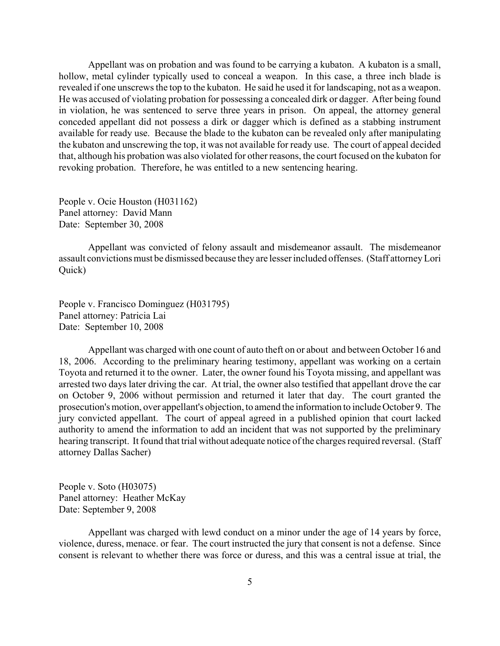Appellant was on probation and was found to be carrying a kubaton. A kubaton is a small, hollow, metal cylinder typically used to conceal a weapon. In this case, a three inch blade is revealed if one unscrews the top to the kubaton. He said he used it for landscaping, not as a weapon. He was accused of violating probation for possessing a concealed dirk or dagger. After being found in violation, he was sentenced to serve three years in prison. On appeal, the attorney general conceded appellant did not possess a dirk or dagger which is defined as a stabbing instrument available for ready use. Because the blade to the kubaton can be revealed only after manipulating the kubaton and unscrewing the top, it was not available for ready use. The court of appeal decided that, although his probation was also violated for other reasons, the court focused on the kubaton for revoking probation. Therefore, he was entitled to a new sentencing hearing.

People v. Ocie Houston (H031162) Panel attorney: David Mann Date: September 30, 2008

Appellant was convicted of felony assault and misdemeanor assault. The misdemeanor assault convictions must be dismissed because they are lesser included offenses. (Staff attorney Lori Quick)

People v. Francisco Dominguez (H031795) Panel attorney: Patricia Lai Date: September 10, 2008

Appellant was charged with one count of auto theft on or about and between October 16 and 18, 2006. According to the preliminary hearing testimony, appellant was working on a certain Toyota and returned it to the owner. Later, the owner found his Toyota missing, and appellant was arrested two days later driving the car. At trial, the owner also testified that appellant drove the car on October 9, 2006 without permission and returned it later that day. The court granted the prosecution's motion, over appellant's objection, to amend the information to include October 9. The jury convicted appellant. The court of appeal agreed in a published opinion that court lacked authority to amend the information to add an incident that was not supported by the preliminary hearing transcript. It found that trial without adequate notice of the charges required reversal. (Staff attorney Dallas Sacher)

People v. Soto (H03075) Panel attorney: Heather McKay Date: September 9, 2008

Appellant was charged with lewd conduct on a minor under the age of 14 years by force, violence, duress, menace. or fear. The court instructed the jury that consent is not a defense. Since consent is relevant to whether there was force or duress, and this was a central issue at trial, the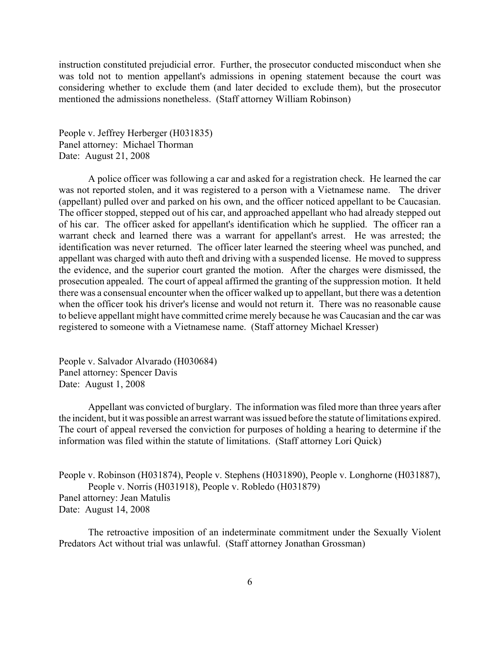instruction constituted prejudicial error. Further, the prosecutor conducted misconduct when she was told not to mention appellant's admissions in opening statement because the court was considering whether to exclude them (and later decided to exclude them), but the prosecutor mentioned the admissions nonetheless. (Staff attorney William Robinson)

People v. Jeffrey Herberger (H031835) Panel attorney: Michael Thorman Date: August 21, 2008

A police officer was following a car and asked for a registration check. He learned the car was not reported stolen, and it was registered to a person with a Vietnamese name. The driver (appellant) pulled over and parked on his own, and the officer noticed appellant to be Caucasian. The officer stopped, stepped out of his car, and approached appellant who had already stepped out of his car. The officer asked for appellant's identification which he supplied. The officer ran a warrant check and learned there was a warrant for appellant's arrest. He was arrested; the identification was never returned. The officer later learned the steering wheel was punched, and appellant was charged with auto theft and driving with a suspended license. He moved to suppress the evidence, and the superior court granted the motion. After the charges were dismissed, the prosecution appealed. The court of appeal affirmed the granting of the suppression motion. It held there was a consensual encounter when the officer walked up to appellant, but there was a detention when the officer took his driver's license and would not return it. There was no reasonable cause to believe appellant might have committed crime merely because he was Caucasian and the car was registered to someone with a Vietnamese name. (Staff attorney Michael Kresser)

People v. Salvador Alvarado (H030684) Panel attorney: Spencer Davis Date: August 1, 2008

Appellant was convicted of burglary. The information was filed more than three years after the incident, but it was possible an arrest warrant was issued before the statute of limitations expired. The court of appeal reversed the conviction for purposes of holding a hearing to determine if the information was filed within the statute of limitations. (Staff attorney Lori Quick)

People v. Robinson (H031874), People v. Stephens (H031890), People v. Longhorne (H031887), People v. Norris (H031918), People v. Robledo (H031879) Panel attorney: Jean Matulis Date: August 14, 2008

The retroactive imposition of an indeterminate commitment under the Sexually Violent Predators Act without trial was unlawful. (Staff attorney Jonathan Grossman)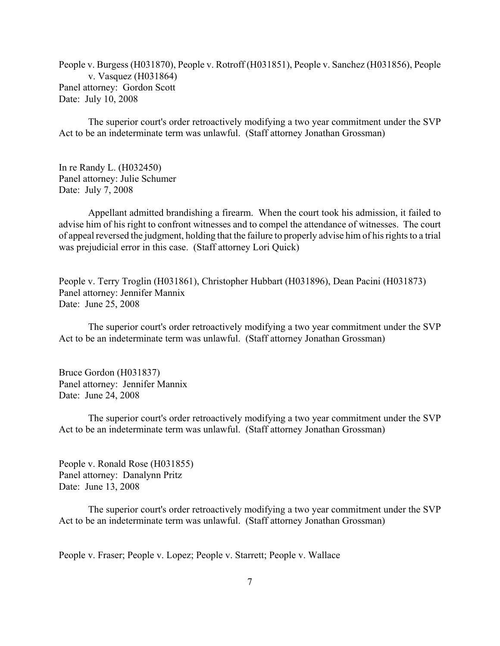People v. Burgess (H031870), People v. Rotroff (H031851), People v. Sanchez (H031856), People v. Vasquez (H031864) Panel attorney: Gordon Scott Date: July 10, 2008

The superior court's order retroactively modifying a two year commitment under the SVP Act to be an indeterminate term was unlawful. (Staff attorney Jonathan Grossman)

In re Randy L. (H032450) Panel attorney: Julie Schumer Date: July 7, 2008

Appellant admitted brandishing a firearm. When the court took his admission, it failed to advise him of his right to confront witnesses and to compel the attendance of witnesses. The court of appeal reversed the judgment, holding that the failure to properly advise him of his rights to a trial was prejudicial error in this case. (Staff attorney Lori Quick)

People v. Terry Troglin (H031861), Christopher Hubbart (H031896), Dean Pacini (H031873) Panel attorney: Jennifer Mannix Date: June 25, 2008

The superior court's order retroactively modifying a two year commitment under the SVP Act to be an indeterminate term was unlawful. (Staff attorney Jonathan Grossman)

Bruce Gordon (H031837) Panel attorney: Jennifer Mannix Date: June 24, 2008

The superior court's order retroactively modifying a two year commitment under the SVP Act to be an indeterminate term was unlawful. (Staff attorney Jonathan Grossman)

People v. Ronald Rose (H031855) Panel attorney: Danalynn Pritz Date: June 13, 2008

The superior court's order retroactively modifying a two year commitment under the SVP Act to be an indeterminate term was unlawful. (Staff attorney Jonathan Grossman)

People v. Fraser; People v. Lopez; People v. Starrett; People v. Wallace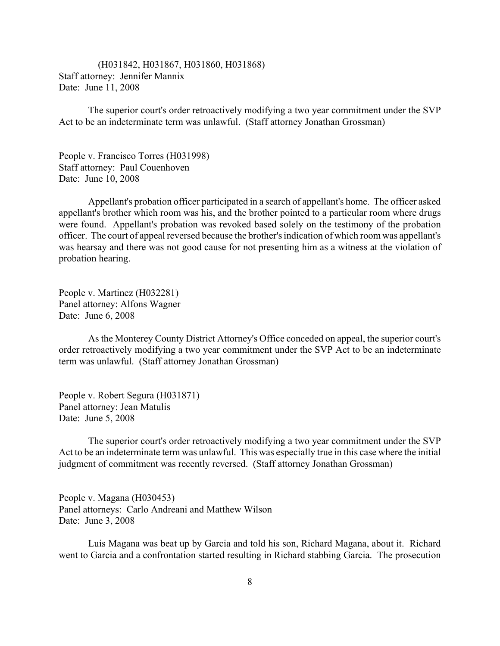(H031842, H031867, H031860, H031868) Staff attorney: Jennifer Mannix Date: June 11, 2008

The superior court's order retroactively modifying a two year commitment under the SVP Act to be an indeterminate term was unlawful. (Staff attorney Jonathan Grossman)

People v. Francisco Torres (H031998) Staff attorney: Paul Couenhoven Date: June 10, 2008

Appellant's probation officer participated in a search of appellant's home. The officer asked appellant's brother which room was his, and the brother pointed to a particular room where drugs were found. Appellant's probation was revoked based solely on the testimony of the probation officer. The court of appeal reversed because the brother's indication of which room was appellant's was hearsay and there was not good cause for not presenting him as a witness at the violation of probation hearing.

People v. Martinez (H032281) Panel attorney: Alfons Wagner Date: June 6, 2008

As the Monterey County District Attorney's Office conceded on appeal, the superior court's order retroactively modifying a two year commitment under the SVP Act to be an indeterminate term was unlawful. (Staff attorney Jonathan Grossman)

People v. Robert Segura (H031871) Panel attorney: Jean Matulis Date: June 5, 2008

The superior court's order retroactively modifying a two year commitment under the SVP Act to be an indeterminate term was unlawful. This was especially true in this case where the initial judgment of commitment was recently reversed. (Staff attorney Jonathan Grossman)

People v. Magana (H030453) Panel attorneys: Carlo Andreani and Matthew Wilson Date: June 3, 2008

Luis Magana was beat up by Garcia and told his son, Richard Magana, about it. Richard went to Garcia and a confrontation started resulting in Richard stabbing Garcia. The prosecution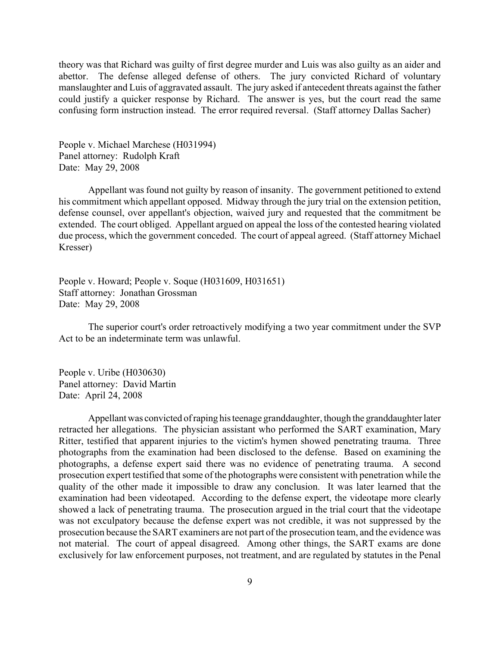theory was that Richard was guilty of first degree murder and Luis was also guilty as an aider and abettor. The defense alleged defense of others. The jury convicted Richard of voluntary manslaughter and Luis of aggravated assault. The jury asked if antecedent threats against the father could justify a quicker response by Richard. The answer is yes, but the court read the same confusing form instruction instead. The error required reversal. (Staff attorney Dallas Sacher)

People v. Michael Marchese (H031994) Panel attorney: Rudolph Kraft Date: May 29, 2008

Appellant was found not guilty by reason of insanity. The government petitioned to extend his commitment which appellant opposed. Midway through the jury trial on the extension petition, defense counsel, over appellant's objection, waived jury and requested that the commitment be extended. The court obliged. Appellant argued on appeal the loss of the contested hearing violated due process, which the government conceded. The court of appeal agreed. (Staff attorney Michael Kresser)

People v. Howard; People v. Soque (H031609, H031651) Staff attorney: Jonathan Grossman Date: May 29, 2008

The superior court's order retroactively modifying a two year commitment under the SVP Act to be an indeterminate term was unlawful.

People v. Uribe (H030630) Panel attorney: David Martin Date: April 24, 2008

Appellant was convicted of raping his teenage granddaughter, though the granddaughter later retracted her allegations. The physician assistant who performed the SART examination, Mary Ritter, testified that apparent injuries to the victim's hymen showed penetrating trauma. Three photographs from the examination had been disclosed to the defense. Based on examining the photographs, a defense expert said there was no evidence of penetrating trauma. A second prosecution expert testified that some of the photographs were consistent with penetration while the quality of the other made it impossible to draw any conclusion. It was later learned that the examination had been videotaped. According to the defense expert, the videotape more clearly showed a lack of penetrating trauma. The prosecution argued in the trial court that the videotape was not exculpatory because the defense expert was not credible, it was not suppressed by the prosecution because the SART examiners are not part of the prosecution team, and the evidence was not material. The court of appeal disagreed. Among other things, the SART exams are done exclusively for law enforcement purposes, not treatment, and are regulated by statutes in the Penal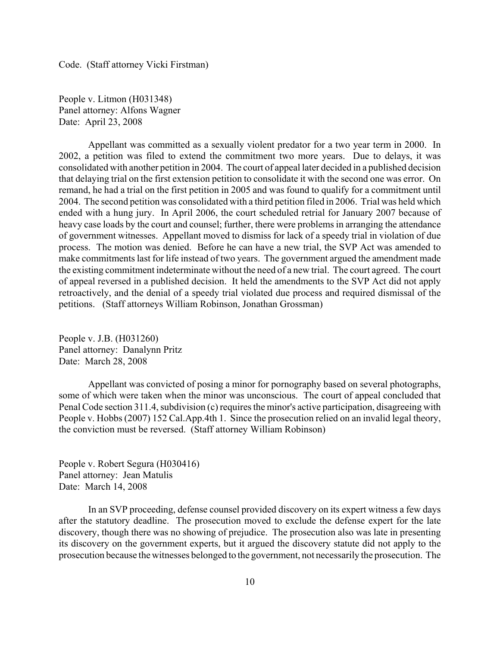Code. (Staff attorney Vicki Firstman)

People v. Litmon (H031348) Panel attorney: Alfons Wagner Date: April 23, 2008

Appellant was committed as a sexually violent predator for a two year term in 2000. In 2002, a petition was filed to extend the commitment two more years. Due to delays, it was consolidated with another petition in 2004. The court of appeal later decided in a published decision that delaying trial on the first extension petition to consolidate it with the second one was error. On remand, he had a trial on the first petition in 2005 and was found to qualify for a commitment until 2004. The second petition was consolidated with a third petition filed in 2006. Trial was held which ended with a hung jury. In April 2006, the court scheduled retrial for January 2007 because of heavy case loads by the court and counsel; further, there were problems in arranging the attendance of government witnesses. Appellant moved to dismiss for lack of a speedy trial in violation of due process. The motion was denied. Before he can have a new trial, the SVP Act was amended to make commitments last for life instead of two years. The government argued the amendment made the existing commitment indeterminate without the need of a new trial. The court agreed. The court of appeal reversed in a published decision. It held the amendments to the SVP Act did not apply retroactively, and the denial of a speedy trial violated due process and required dismissal of the petitions. (Staff attorneys William Robinson, Jonathan Grossman)

People v. J.B. (H031260) Panel attorney: Danalynn Pritz Date: March 28, 2008

Appellant was convicted of posing a minor for pornography based on several photographs, some of which were taken when the minor was unconscious. The court of appeal concluded that Penal Code section 311.4, subdivision (c) requires the minor's active participation, disagreeing with People v. Hobbs (2007) 152 Cal.App.4th 1. Since the prosecution relied on an invalid legal theory, the conviction must be reversed. (Staff attorney William Robinson)

People v. Robert Segura (H030416) Panel attorney: Jean Matulis Date: March 14, 2008

In an SVP proceeding, defense counsel provided discovery on its expert witness a few days after the statutory deadline. The prosecution moved to exclude the defense expert for the late discovery, though there was no showing of prejudice. The prosecution also was late in presenting its discovery on the government experts, but it argued the discovery statute did not apply to the prosecution because the witnesses belonged to the government, not necessarily the prosecution. The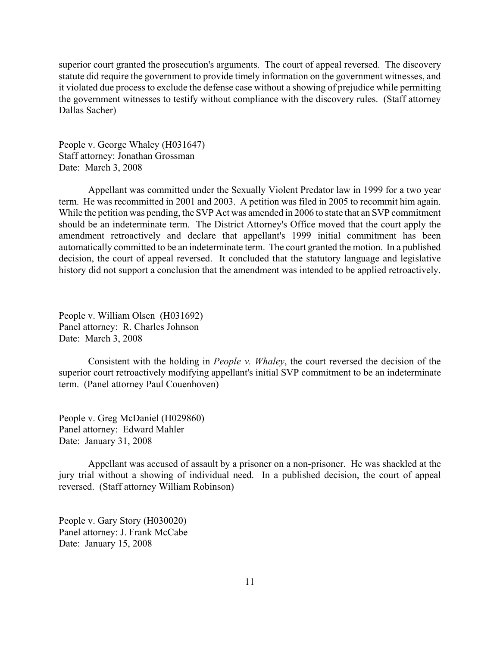superior court granted the prosecution's arguments. The court of appeal reversed. The discovery statute did require the government to provide timely information on the government witnesses, and it violated due process to exclude the defense case without a showing of prejudice while permitting the government witnesses to testify without compliance with the discovery rules. (Staff attorney Dallas Sacher)

People v. George Whaley (H031647) Staff attorney: Jonathan Grossman Date: March 3, 2008

Appellant was committed under the Sexually Violent Predator law in 1999 for a two year term. He was recommitted in 2001 and 2003. A petition was filed in 2005 to recommit him again. While the petition was pending, the SVP Act was amended in 2006 to state that an SVP commitment should be an indeterminate term. The District Attorney's Office moved that the court apply the amendment retroactively and declare that appellant's 1999 initial commitment has been automatically committed to be an indeterminate term. The court granted the motion. In a published decision, the court of appeal reversed. It concluded that the statutory language and legislative history did not support a conclusion that the amendment was intended to be applied retroactively.

People v. William Olsen (H031692) Panel attorney: R. Charles Johnson Date: March 3, 2008

Consistent with the holding in *People v. Whaley*, the court reversed the decision of the superior court retroactively modifying appellant's initial SVP commitment to be an indeterminate term. (Panel attorney Paul Couenhoven)

People v. Greg McDaniel (H029860) Panel attorney: Edward Mahler Date: January 31, 2008

Appellant was accused of assault by a prisoner on a non-prisoner. He was shackled at the jury trial without a showing of individual need. In a published decision, the court of appeal reversed. (Staff attorney William Robinson)

People v. Gary Story (H030020) Panel attorney: J. Frank McCabe Date: January 15, 2008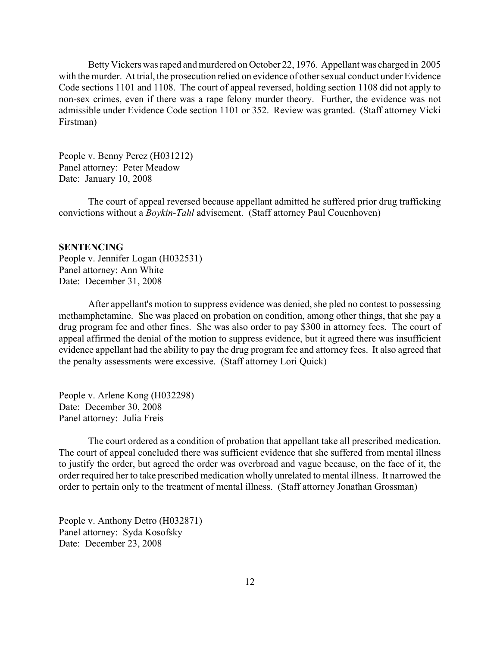<span id="page-11-0"></span>Betty Vickers was raped and murdered on October 22, 1976. Appellant was charged in 2005 with the murder. At trial, the prosecution relied on evidence of other sexual conduct under Evidence Code sections 1101 and 1108. The court of appeal reversed, holding section 1108 did not apply to non-sex crimes, even if there was a rape felony murder theory. Further, the evidence was not admissible under Evidence Code section 1101 or 352. Review was granted. (Staff attorney Vicki Firstman)

People v. Benny Perez (H031212) Panel attorney: Peter Meadow Date: January 10, 2008

The court of appeal reversed because appellant admitted he suffered prior drug trafficking convictions without a *Boykin-Tahl* advisement. (Staff attorney Paul Couenhoven)

## **SENTENCING**

People v. Jennifer Logan (H032531) Panel attorney: Ann White Date: December 31, 2008

After appellant's motion to suppress evidence was denied, she pled no contest to possessing methamphetamine. She was placed on probation on condition, among other things, that she pay a drug program fee and other fines. She was also order to pay \$300 in attorney fees. The court of appeal affirmed the denial of the motion to suppress evidence, but it agreed there was insufficient evidence appellant had the ability to pay the drug program fee and attorney fees. It also agreed that the penalty assessments were excessive. (Staff attorney Lori Quick)

People v. Arlene Kong (H032298) Date: December 30, 2008 Panel attorney: Julia Freis

The court ordered as a condition of probation that appellant take all prescribed medication. The court of appeal concluded there was sufficient evidence that she suffered from mental illness to justify the order, but agreed the order was overbroad and vague because, on the face of it, the order required her to take prescribed medication wholly unrelated to mental illness. It narrowed the order to pertain only to the treatment of mental illness. (Staff attorney Jonathan Grossman)

People v. Anthony Detro (H032871) Panel attorney: Syda Kosofsky Date: December 23, 2008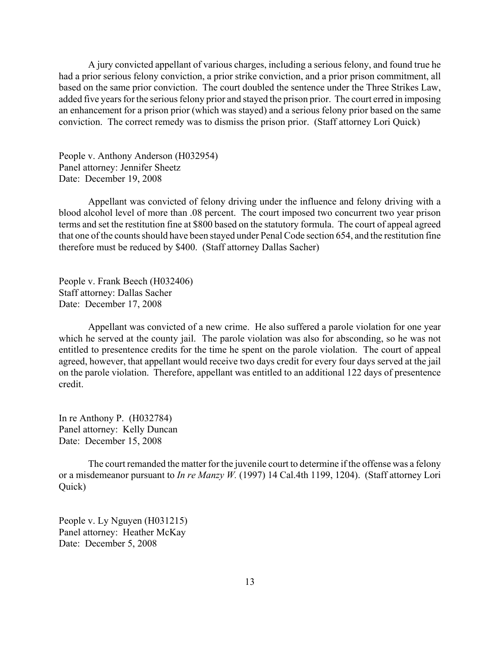A jury convicted appellant of various charges, including a serious felony, and found true he had a prior serious felony conviction, a prior strike conviction, and a prior prison commitment, all based on the same prior conviction. The court doubled the sentence under the Three Strikes Law, added five years for the serious felony prior and stayed the prison prior. The court erred in imposing an enhancement for a prison prior (which was stayed) and a serious felony prior based on the same conviction. The correct remedy was to dismiss the prison prior. (Staff attorney Lori Quick)

People v. Anthony Anderson (H032954) Panel attorney: Jennifer Sheetz Date: December 19, 2008

Appellant was convicted of felony driving under the influence and felony driving with a blood alcohol level of more than .08 percent. The court imposed two concurrent two year prison terms and set the restitution fine at \$800 based on the statutory formula. The court of appeal agreed that one of the counts should have been stayed under Penal Code section 654, and the restitution fine therefore must be reduced by \$400. (Staff attorney Dallas Sacher)

People v. Frank Beech (H032406) Staff attorney: Dallas Sacher Date: December 17, 2008

Appellant was convicted of a new crime. He also suffered a parole violation for one year which he served at the county jail. The parole violation was also for absconding, so he was not entitled to presentence credits for the time he spent on the parole violation. The court of appeal agreed, however, that appellant would receive two days credit for every four days served at the jail on the parole violation. Therefore, appellant was entitled to an additional 122 days of presentence credit.

In re Anthony P. (H032784) Panel attorney: Kelly Duncan Date: December 15, 2008

The court remanded the matter for the juvenile court to determine if the offense was a felony or a misdemeanor pursuant to *In re Manzy W.* (1997) 14 Cal.4th 1199, 1204). (Staff attorney Lori Quick)

People v. Ly Nguyen (H031215) Panel attorney: Heather McKay Date: December 5, 2008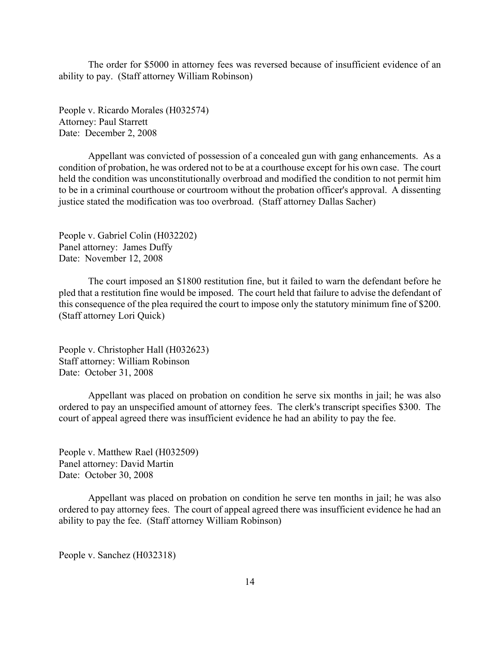The order for \$5000 in attorney fees was reversed because of insufficient evidence of an ability to pay. (Staff attorney William Robinson)

People v. Ricardo Morales (H032574) Attorney: Paul Starrett Date: December 2, 2008

Appellant was convicted of possession of a concealed gun with gang enhancements. As a condition of probation, he was ordered not to be at a courthouse except for his own case. The court held the condition was unconstitutionally overbroad and modified the condition to not permit him to be in a criminal courthouse or courtroom without the probation officer's approval. A dissenting justice stated the modification was too overbroad. (Staff attorney Dallas Sacher)

People v. Gabriel Colin (H032202) Panel attorney: James Duffy Date: November 12, 2008

The court imposed an \$1800 restitution fine, but it failed to warn the defendant before he pled that a restitution fine would be imposed. The court held that failure to advise the defendant of this consequence of the plea required the court to impose only the statutory minimum fine of \$200. (Staff attorney Lori Quick)

People v. Christopher Hall (H032623) Staff attorney: William Robinson Date: October 31, 2008

Appellant was placed on probation on condition he serve six months in jail; he was also ordered to pay an unspecified amount of attorney fees. The clerk's transcript specifies \$300. The court of appeal agreed there was insufficient evidence he had an ability to pay the fee.

People v. Matthew Rael (H032509) Panel attorney: David Martin Date: October 30, 2008

Appellant was placed on probation on condition he serve ten months in jail; he was also ordered to pay attorney fees. The court of appeal agreed there was insufficient evidence he had an ability to pay the fee. (Staff attorney William Robinson)

People v. Sanchez (H032318)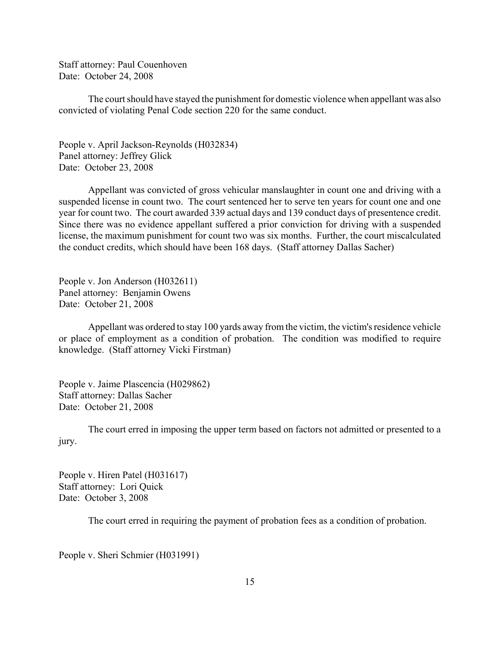Staff attorney: Paul Couenhoven Date: October 24, 2008

The court should have stayed the punishment for domestic violence when appellant was also convicted of violating Penal Code section 220 for the same conduct.

People v. April Jackson-Reynolds (H032834) Panel attorney: Jeffrey Glick Date: October 23, 2008

Appellant was convicted of gross vehicular manslaughter in count one and driving with a suspended license in count two. The court sentenced her to serve ten years for count one and one year for count two. The court awarded 339 actual days and 139 conduct days of presentence credit. Since there was no evidence appellant suffered a prior conviction for driving with a suspended license, the maximum punishment for count two was six months. Further, the court miscalculated the conduct credits, which should have been 168 days. (Staff attorney Dallas Sacher)

People v. Jon Anderson (H032611) Panel attorney: Benjamin Owens Date: October 21, 2008

Appellant was ordered to stay 100 yards away from the victim, the victim's residence vehicle or place of employment as a condition of probation. The condition was modified to require knowledge. (Staff attorney Vicki Firstman)

People v. Jaime Plascencia (H029862) Staff attorney: Dallas Sacher Date: October 21, 2008

The court erred in imposing the upper term based on factors not admitted or presented to a jury.

People v. Hiren Patel (H031617) Staff attorney: Lori Quick Date: October 3, 2008

The court erred in requiring the payment of probation fees as a condition of probation.

People v. Sheri Schmier (H031991)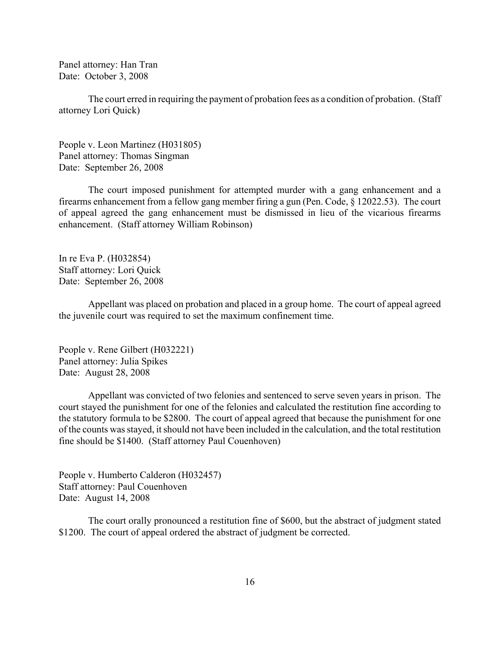Panel attorney: Han Tran Date: October 3, 2008

The court erred in requiring the payment of probation fees as a condition of probation. (Staff attorney Lori Quick)

People v. Leon Martinez (H031805) Panel attorney: Thomas Singman Date: September 26, 2008

The court imposed punishment for attempted murder with a gang enhancement and a firearms enhancement from a fellow gang member firing a gun (Pen. Code, § 12022.53). The court of appeal agreed the gang enhancement must be dismissed in lieu of the vicarious firearms enhancement. (Staff attorney William Robinson)

In re Eva P. (H032854) Staff attorney: Lori Quick Date: September 26, 2008

Appellant was placed on probation and placed in a group home. The court of appeal agreed the juvenile court was required to set the maximum confinement time.

People v. Rene Gilbert (H032221) Panel attorney: Julia Spikes Date: August 28, 2008

Appellant was convicted of two felonies and sentenced to serve seven years in prison. The court stayed the punishment for one of the felonies and calculated the restitution fine according to the statutory formula to be \$2800. The court of appeal agreed that because the punishment for one of the counts was stayed, it should not have been included in the calculation, and the total restitution fine should be \$1400. (Staff attorney Paul Couenhoven)

People v. Humberto Calderon (H032457) Staff attorney: Paul Couenhoven Date: August 14, 2008

The court orally pronounced a restitution fine of \$600, but the abstract of judgment stated \$1200. The court of appeal ordered the abstract of judgment be corrected.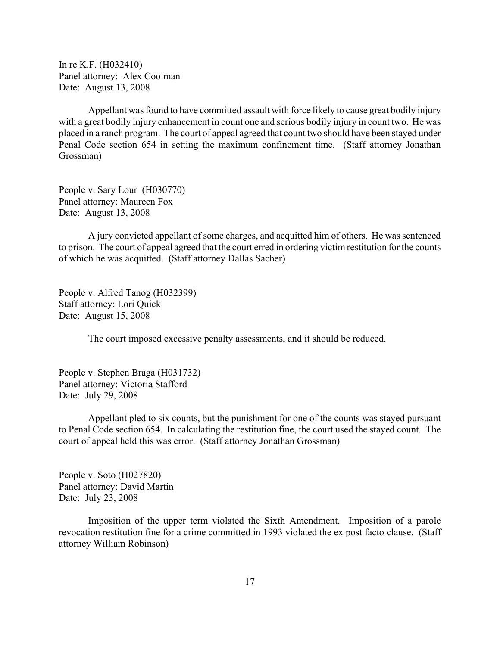In re K.F. (H032410) Panel attorney: Alex Coolman Date: August 13, 2008

Appellant was found to have committed assault with force likely to cause great bodily injury with a great bodily injury enhancement in count one and serious bodily injury in count two. He was placed in a ranch program. The court of appeal agreed that count two should have been stayed under Penal Code section 654 in setting the maximum confinement time. (Staff attorney Jonathan Grossman)

People v. Sary Lour (H030770) Panel attorney: Maureen Fox Date: August 13, 2008

A jury convicted appellant of some charges, and acquitted him of others. He was sentenced to prison. The court of appeal agreed that the court erred in ordering victim restitution for the counts of which he was acquitted. (Staff attorney Dallas Sacher)

People v. Alfred Tanog (H032399) Staff attorney: Lori Quick Date: August 15, 2008

The court imposed excessive penalty assessments, and it should be reduced.

People v. Stephen Braga (H031732) Panel attorney: Victoria Stafford Date: July 29, 2008

Appellant pled to six counts, but the punishment for one of the counts was stayed pursuant to Penal Code section 654. In calculating the restitution fine, the court used the stayed count. The court of appeal held this was error. (Staff attorney Jonathan Grossman)

People v. Soto (H027820) Panel attorney: David Martin Date: July 23, 2008

Imposition of the upper term violated the Sixth Amendment. Imposition of a parole revocation restitution fine for a crime committed in 1993 violated the ex post facto clause. (Staff attorney William Robinson)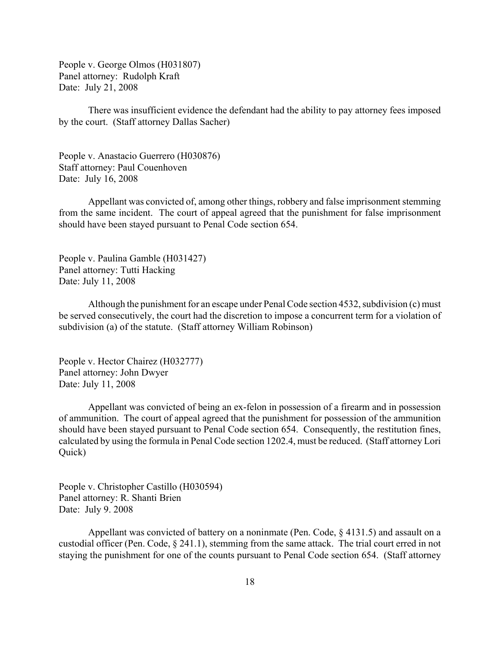People v. George Olmos (H031807) Panel attorney: Rudolph Kraft Date: July 21, 2008

There was insufficient evidence the defendant had the ability to pay attorney fees imposed by the court. (Staff attorney Dallas Sacher)

People v. Anastacio Guerrero (H030876) Staff attorney: Paul Couenhoven Date: July 16, 2008

Appellant was convicted of, among other things, robbery and false imprisonment stemming from the same incident. The court of appeal agreed that the punishment for false imprisonment should have been stayed pursuant to Penal Code section 654.

People v. Paulina Gamble (H031427) Panel attorney: Tutti Hacking Date: July 11, 2008

Although the punishment for an escape under Penal Code section 4532, subdivision (c) must be served consecutively, the court had the discretion to impose a concurrent term for a violation of subdivision (a) of the statute. (Staff attorney William Robinson)

People v. Hector Chairez (H032777) Panel attorney: John Dwyer Date: July 11, 2008

Appellant was convicted of being an ex-felon in possession of a firearm and in possession of ammunition. The court of appeal agreed that the punishment for possession of the ammunition should have been stayed pursuant to Penal Code section 654. Consequently, the restitution fines, calculated by using the formula in Penal Code section 1202.4, must be reduced. (Staff attorney Lori Quick)

People v. Christopher Castillo (H030594) Panel attorney: R. Shanti Brien Date: July 9. 2008

Appellant was convicted of battery on a noninmate (Pen. Code, § 4131.5) and assault on a custodial officer (Pen. Code, § 241.1), stemming from the same attack. The trial court erred in not staying the punishment for one of the counts pursuant to Penal Code section 654. (Staff attorney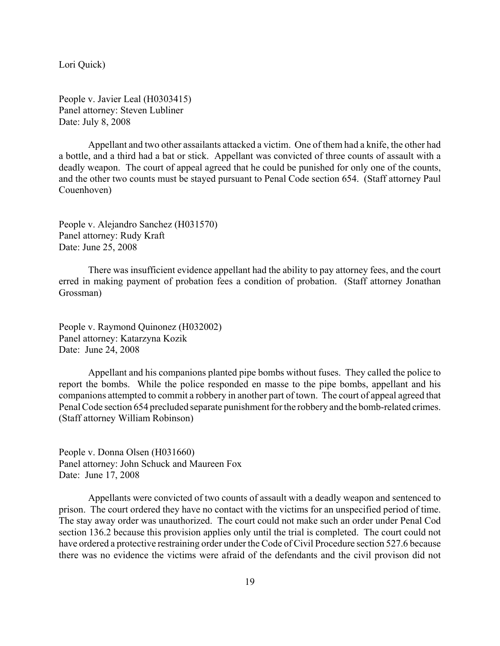Lori Quick)

People v. Javier Leal (H0303415) Panel attorney: Steven Lubliner Date: July 8, 2008

Appellant and two other assailants attacked a victim. One of them had a knife, the other had a bottle, and a third had a bat or stick. Appellant was convicted of three counts of assault with a deadly weapon. The court of appeal agreed that he could be punished for only one of the counts, and the other two counts must be stayed pursuant to Penal Code section 654. (Staff attorney Paul Couenhoven)

People v. Alejandro Sanchez (H031570) Panel attorney: Rudy Kraft Date: June 25, 2008

There was insufficient evidence appellant had the ability to pay attorney fees, and the court erred in making payment of probation fees a condition of probation. (Staff attorney Jonathan Grossman)

People v. Raymond Quinonez (H032002) Panel attorney: Katarzyna Kozik Date: June 24, 2008

Appellant and his companions planted pipe bombs without fuses. They called the police to report the bombs. While the police responded en masse to the pipe bombs, appellant and his companions attempted to commit a robbery in another part of town. The court of appeal agreed that Penal Code section 654 precluded separate punishment for the robbery and the bomb-related crimes. (Staff attorney William Robinson)

People v. Donna Olsen (H031660) Panel attorney: John Schuck and Maureen Fox Date: June 17, 2008

Appellants were convicted of two counts of assault with a deadly weapon and sentenced to prison. The court ordered they have no contact with the victims for an unspecified period of time. The stay away order was unauthorized. The court could not make such an order under Penal Cod section 136.2 because this provision applies only until the trial is completed. The court could not have ordered a protective restraining order under the Code of Civil Procedure section 527.6 because there was no evidence the victims were afraid of the defendants and the civil provison did not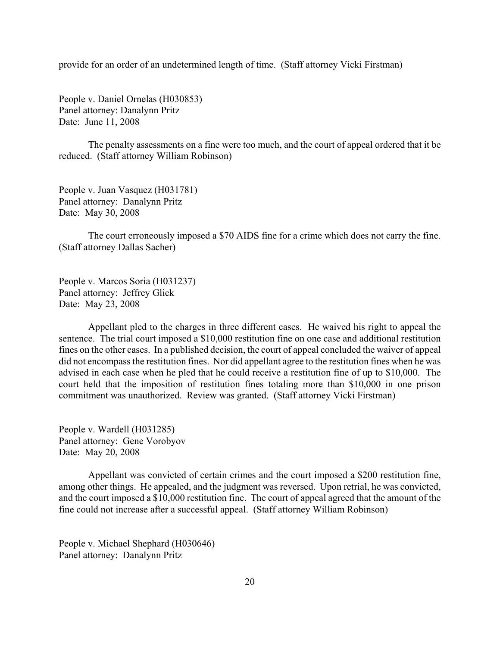provide for an order of an undetermined length of time. (Staff attorney Vicki Firstman)

People v. Daniel Ornelas (H030853) Panel attorney: Danalynn Pritz Date: June 11, 2008

The penalty assessments on a fine were too much, and the court of appeal ordered that it be reduced. (Staff attorney William Robinson)

People v. Juan Vasquez (H031781) Panel attorney: Danalynn Pritz Date: May 30, 2008

The court erroneously imposed a \$70 AIDS fine for a crime which does not carry the fine. (Staff attorney Dallas Sacher)

People v. Marcos Soria (H031237) Panel attorney: Jeffrey Glick Date: May 23, 2008

Appellant pled to the charges in three different cases. He waived his right to appeal the sentence. The trial court imposed a \$10,000 restitution fine on one case and additional restitution fines on the other cases. In a published decision, the court of appeal concluded the waiver of appeal did not encompass the restitution fines. Nor did appellant agree to the restitution fines when he was advised in each case when he pled that he could receive a restitution fine of up to \$10,000. The court held that the imposition of restitution fines totaling more than \$10,000 in one prison commitment was unauthorized. Review was granted. (Staff attorney Vicki Firstman)

People v. Wardell (H031285) Panel attorney: Gene Vorobyov Date: May 20, 2008

Appellant was convicted of certain crimes and the court imposed a \$200 restitution fine, among other things. He appealed, and the judgment was reversed. Upon retrial, he was convicted, and the court imposed a \$10,000 restitution fine. The court of appeal agreed that the amount of the fine could not increase after a successful appeal. (Staff attorney William Robinson)

People v. Michael Shephard (H030646) Panel attorney: Danalynn Pritz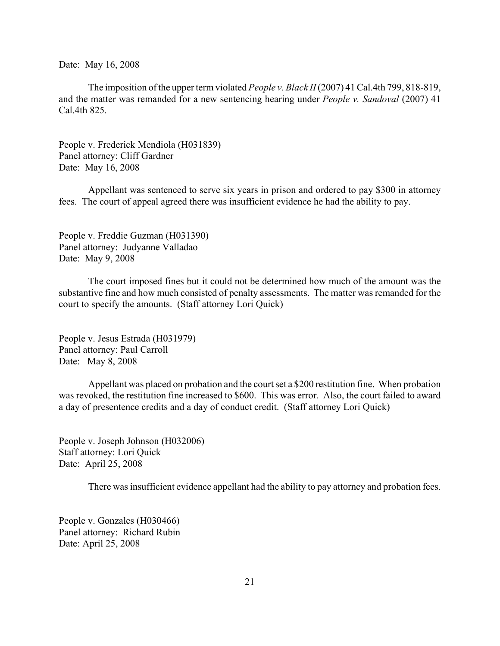Date: May 16, 2008

The imposition of the upper term violated *People v. Black II* (2007) 41 Cal.4th 799, 818-819, and the matter was remanded for a new sentencing hearing under *People v. Sandoval* (2007) 41 Cal.4th 825.

People v. Frederick Mendiola (H031839) Panel attorney: Cliff Gardner Date: May 16, 2008

Appellant was sentenced to serve six years in prison and ordered to pay \$300 in attorney fees. The court of appeal agreed there was insufficient evidence he had the ability to pay.

People v. Freddie Guzman (H031390) Panel attorney: Judyanne Valladao Date: May 9, 2008

The court imposed fines but it could not be determined how much of the amount was the substantive fine and how much consisted of penalty assessments. The matter was remanded for the court to specify the amounts. (Staff attorney Lori Quick)

People v. Jesus Estrada (H031979) Panel attorney: Paul Carroll Date: May 8, 2008

Appellant was placed on probation and the court set a \$200 restitution fine. When probation was revoked, the restitution fine increased to \$600. This was error. Also, the court failed to award a day of presentence credits and a day of conduct credit. (Staff attorney Lori Quick)

People v. Joseph Johnson (H032006) Staff attorney: Lori Quick Date: April 25, 2008

There was insufficient evidence appellant had the ability to pay attorney and probation fees.

People v. Gonzales (H030466) Panel attorney: Richard Rubin Date: April 25, 2008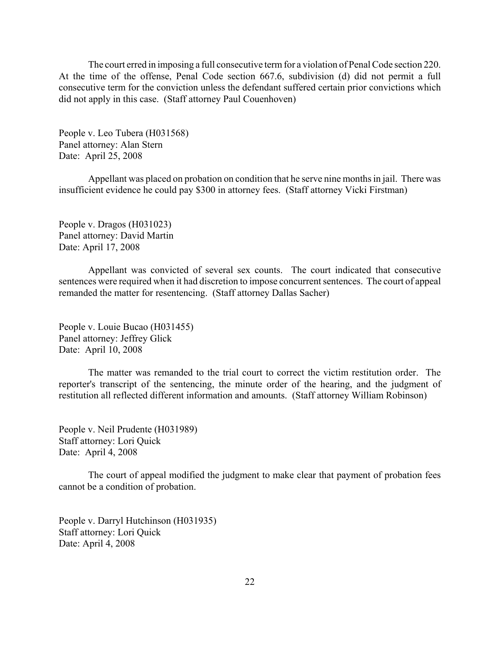The court erred in imposing a full consecutive term for a violation of Penal Code section 220. At the time of the offense, Penal Code section 667.6, subdivision (d) did not permit a full consecutive term for the conviction unless the defendant suffered certain prior convictions which did not apply in this case. (Staff attorney Paul Couenhoven)

People v. Leo Tubera (H031568) Panel attorney: Alan Stern Date: April 25, 2008

Appellant was placed on probation on condition that he serve nine months in jail. There was insufficient evidence he could pay \$300 in attorney fees. (Staff attorney Vicki Firstman)

People v. Dragos (H031023) Panel attorney: David Martin Date: April 17, 2008

Appellant was convicted of several sex counts. The court indicated that consecutive sentences were required when it had discretion to impose concurrent sentences. The court of appeal remanded the matter for resentencing. (Staff attorney Dallas Sacher)

People v. Louie Bucao (H031455) Panel attorney: Jeffrey Glick Date: April 10, 2008

The matter was remanded to the trial court to correct the victim restitution order. The reporter's transcript of the sentencing, the minute order of the hearing, and the judgment of restitution all reflected different information and amounts. (Staff attorney William Robinson)

People v. Neil Prudente (H031989) Staff attorney: Lori Quick Date: April 4, 2008

The court of appeal modified the judgment to make clear that payment of probation fees cannot be a condition of probation.

People v. Darryl Hutchinson (H031935) Staff attorney: Lori Quick Date: April 4, 2008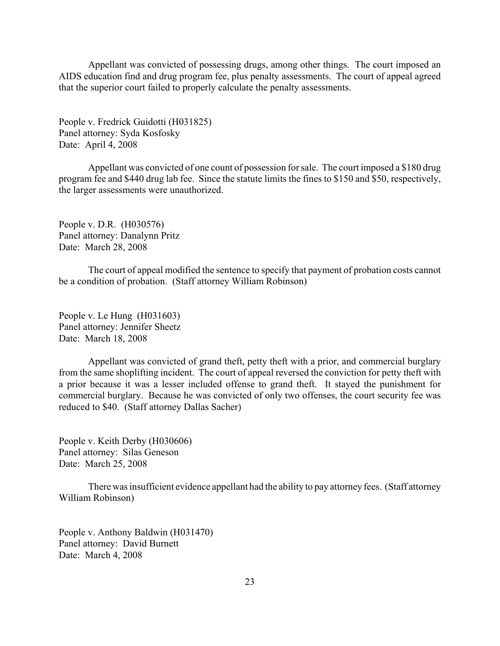Appellant was convicted of possessing drugs, among other things. The court imposed an AIDS education find and drug program fee, plus penalty assessments. The court of appeal agreed that the superior court failed to properly calculate the penalty assessments.

People v. Fredrick Guidotti (H031825) Panel attorney: Syda Kosfosky Date: April 4, 2008

Appellant was convicted of one count of possession for sale. The court imposed a \$180 drug program fee and \$440 drug lab fee. Since the statute limits the fines to \$150 and \$50, respectively, the larger assessments were unauthorized.

People v. D.R. (H030576) Panel attorney: Danalynn Pritz Date: March 28, 2008

The court of appeal modified the sentence to specify that payment of probation costs cannot be a condition of probation. (Staff attorney William Robinson)

People v. Le Hung (H031603) Panel attorney: Jennifer Sheetz Date: March 18, 2008

Appellant was convicted of grand theft, petty theft with a prior, and commercial burglary from the same shoplifting incident. The court of appeal reversed the conviction for petty theft with a prior because it was a lesser included offense to grand theft. It stayed the punishment for commercial burglary. Because he was convicted of only two offenses, the court security fee was reduced to \$40. (Staff attorney Dallas Sacher)

People v. Keith Derby (H030606) Panel attorney: Silas Geneson Date: March 25, 2008

There was insufficient evidence appellant had the ability to pay attorney fees. (Staff attorney William Robinson)

People v. Anthony Baldwin (H031470) Panel attorney: David Burnett Date: March 4, 2008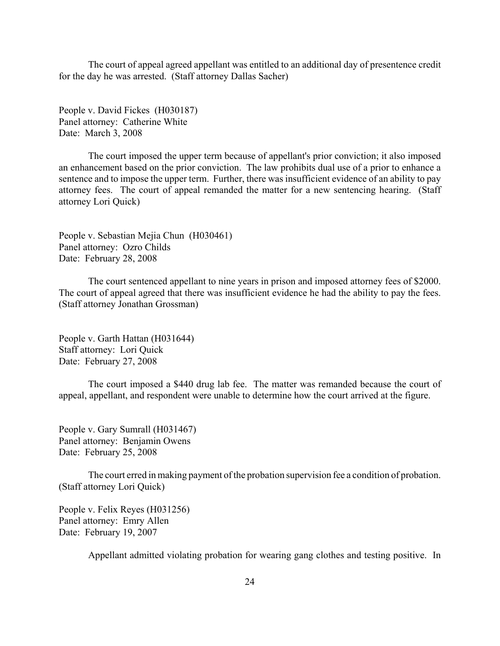The court of appeal agreed appellant was entitled to an additional day of presentence credit for the day he was arrested. (Staff attorney Dallas Sacher)

People v. David Fickes (H030187) Panel attorney: Catherine White Date: March 3, 2008

The court imposed the upper term because of appellant's prior conviction; it also imposed an enhancement based on the prior conviction. The law prohibits dual use of a prior to enhance a sentence and to impose the upper term. Further, there was insufficient evidence of an ability to pay attorney fees. The court of appeal remanded the matter for a new sentencing hearing. (Staff attorney Lori Quick)

People v. Sebastian Mejia Chun (H030461) Panel attorney: Ozro Childs Date: February 28, 2008

The court sentenced appellant to nine years in prison and imposed attorney fees of \$2000. The court of appeal agreed that there was insufficient evidence he had the ability to pay the fees. (Staff attorney Jonathan Grossman)

People v. Garth Hattan (H031644) Staff attorney: Lori Quick Date: February 27, 2008

The court imposed a \$440 drug lab fee. The matter was remanded because the court of appeal, appellant, and respondent were unable to determine how the court arrived at the figure.

People v. Gary Sumrall (H031467) Panel attorney: Benjamin Owens Date: February 25, 2008

The court erred in making payment of the probation supervision fee a condition of probation. (Staff attorney Lori Quick)

People v. Felix Reyes (H031256) Panel attorney: Emry Allen Date: February 19, 2007

Appellant admitted violating probation for wearing gang clothes and testing positive. In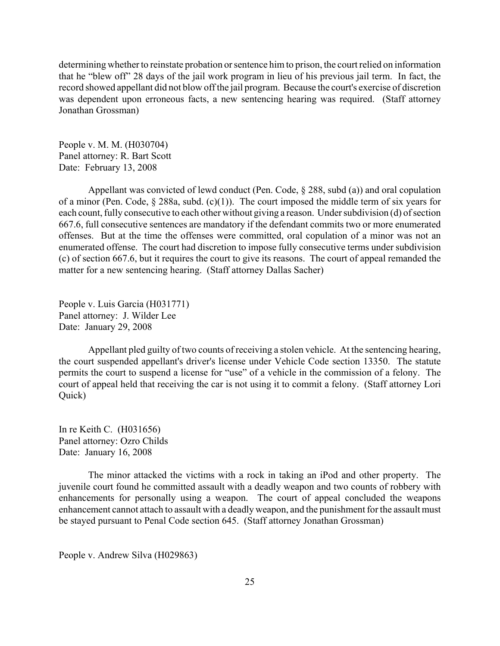determining whether to reinstate probation or sentence him to prison, the court relied on information that he "blew off" 28 days of the jail work program in lieu of his previous jail term. In fact, the record showed appellant did not blow off the jail program. Because the court's exercise of discretion was dependent upon erroneous facts, a new sentencing hearing was required. (Staff attorney Jonathan Grossman)

People v. M. M. (H030704) Panel attorney: R. Bart Scott Date: February 13, 2008

Appellant was convicted of lewd conduct (Pen. Code, § 288, subd (a)) and oral copulation of a minor (Pen. Code, § 288a, subd. (c)(1)). The court imposed the middle term of six years for each count, fully consecutive to each other without giving a reason. Under subdivision (d) of section 667.6, full consecutive sentences are mandatory if the defendant commits two or more enumerated offenses. But at the time the offenses were committed, oral copulation of a minor was not an enumerated offense. The court had discretion to impose fully consecutive terms under subdivision (c) of section 667.6, but it requires the court to give its reasons. The court of appeal remanded the matter for a new sentencing hearing. (Staff attorney Dallas Sacher)

People v. Luis Garcia (H031771) Panel attorney: J. Wilder Lee Date: January 29, 2008

Appellant pled guilty of two counts of receiving a stolen vehicle. At the sentencing hearing, the court suspended appellant's driver's license under Vehicle Code section 13350. The statute permits the court to suspend a license for "use" of a vehicle in the commission of a felony. The court of appeal held that receiving the car is not using it to commit a felony. (Staff attorney Lori Quick)

In re Keith C. (H031656) Panel attorney: Ozro Childs Date: January 16, 2008

The minor attacked the victims with a rock in taking an iPod and other property. The juvenile court found he committed assault with a deadly weapon and two counts of robbery with enhancements for personally using a weapon. The court of appeal concluded the weapons enhancement cannot attach to assault with a deadly weapon, and the punishment for the assault must be stayed pursuant to Penal Code section 645. (Staff attorney Jonathan Grossman)

People v. Andrew Silva (H029863)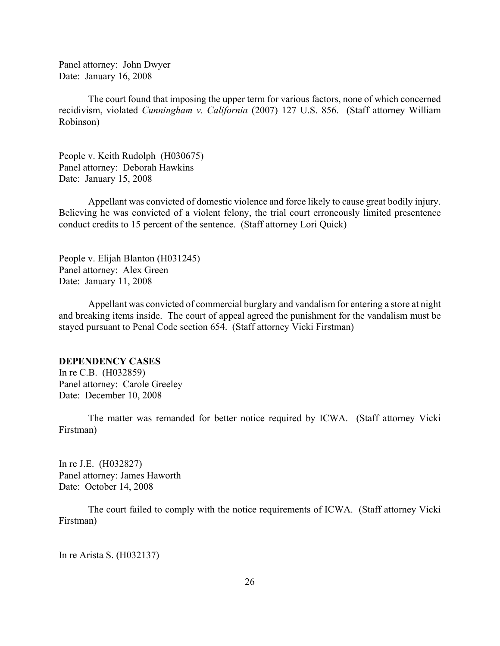<span id="page-25-0"></span>Panel attorney: John Dwyer Date: January 16, 2008

The court found that imposing the upper term for various factors, none of which concerned recidivism, violated *Cunningham v. California* (2007) 127 U.S. 856. (Staff attorney William Robinson)

People v. Keith Rudolph (H030675) Panel attorney: Deborah Hawkins Date: January 15, 2008

Appellant was convicted of domestic violence and force likely to cause great bodily injury. Believing he was convicted of a violent felony, the trial court erroneously limited presentence conduct credits to 15 percent of the sentence. (Staff attorney Lori Quick)

People v. Elijah Blanton (H031245) Panel attorney: Alex Green Date: January 11, 2008

Appellant was convicted of commercial burglary and vandalism for entering a store at night and breaking items inside. The court of appeal agreed the punishment for the vandalism must be stayed pursuant to Penal Code section 654. (Staff attorney Vicki Firstman)

## **DEPENDENCY CASES**

In re C.B. (H032859) Panel attorney: Carole Greeley Date: December 10, 2008

The matter was remanded for better notice required by ICWA. (Staff attorney Vicki Firstman)

In re J.E. (H032827) Panel attorney: James Haworth Date: October 14, 2008

The court failed to comply with the notice requirements of ICWA. (Staff attorney Vicki Firstman)

In re Arista S. (H032137)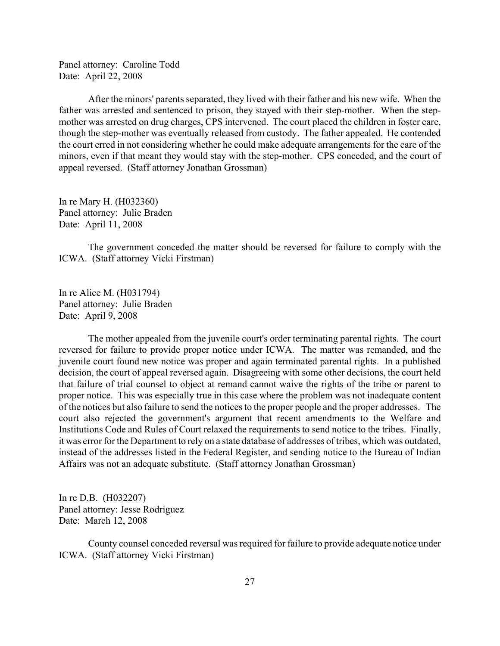Panel attorney: Caroline Todd Date: April 22, 2008

After the minors' parents separated, they lived with their father and his new wife. When the father was arrested and sentenced to prison, they stayed with their step-mother. When the stepmother was arrested on drug charges, CPS intervened. The court placed the children in foster care, though the step-mother was eventually released from custody. The father appealed. He contended the court erred in not considering whether he could make adequate arrangements for the care of the minors, even if that meant they would stay with the step-mother. CPS conceded, and the court of appeal reversed. (Staff attorney Jonathan Grossman)

In re Mary H. (H032360) Panel attorney: Julie Braden Date: April 11, 2008

The government conceded the matter should be reversed for failure to comply with the ICWA. (Staff attorney Vicki Firstman)

In re Alice M. (H031794) Panel attorney: Julie Braden Date: April 9, 2008

The mother appealed from the juvenile court's order terminating parental rights. The court reversed for failure to provide proper notice under ICWA. The matter was remanded, and the juvenile court found new notice was proper and again terminated parental rights. In a published decision, the court of appeal reversed again. Disagreeing with some other decisions, the court held that failure of trial counsel to object at remand cannot waive the rights of the tribe or parent to proper notice. This was especially true in this case where the problem was not inadequate content of the notices but also failure to send the notices to the proper people and the proper addresses. The court also rejected the government's argument that recent amendments to the Welfare and Institutions Code and Rules of Court relaxed the requirements to send notice to the tribes. Finally, it was error for the Department to rely on a state database of addresses of tribes, which was outdated, instead of the addresses listed in the Federal Register, and sending notice to the Bureau of Indian Affairs was not an adequate substitute. (Staff attorney Jonathan Grossman)

In re D.B. (H032207) Panel attorney: Jesse Rodriguez Date: March 12, 2008

County counsel conceded reversal was required for failure to provide adequate notice under ICWA. (Staff attorney Vicki Firstman)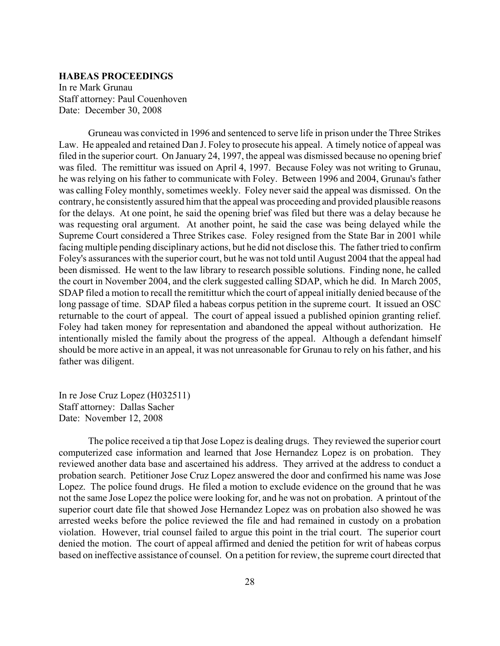### <span id="page-27-0"></span>**HABEAS PROCEEDINGS**

In re Mark Grunau Staff attorney: Paul Couenhoven Date: December 30, 2008

Gruneau was convicted in 1996 and sentenced to serve life in prison under the Three Strikes Law. He appealed and retained Dan J. Foley to prosecute his appeal. A timely notice of appeal was filed in the superior court. On January 24, 1997, the appeal was dismissed because no opening brief was filed. The remittitur was issued on April 4, 1997. Because Foley was not writing to Grunau, he was relying on his father to communicate with Foley. Between 1996 and 2004, Grunau's father was calling Foley monthly, sometimes weekly. Foley never said the appeal was dismissed. On the contrary, he consistently assured him that the appeal was proceeding and provided plausible reasons for the delays. At one point, he said the opening brief was filed but there was a delay because he was requesting oral argument. At another point, he said the case was being delayed while the Supreme Court considered a Three Strikes case. Foley resigned from the State Bar in 2001 while facing multiple pending disciplinary actions, but he did not disclose this. The father tried to confirm Foley's assurances with the superior court, but he was not told until August 2004 that the appeal had been dismissed. He went to the law library to research possible solutions. Finding none, he called the court in November 2004, and the clerk suggested calling SDAP, which he did. In March 2005, SDAP filed a motion to recall the remitittur which the court of appeal initially denied because of the long passage of time. SDAP filed a habeas corpus petition in the supreme court. It issued an OSC returnable to the court of appeal. The court of appeal issued a published opinion granting relief. Foley had taken money for representation and abandoned the appeal without authorization. He intentionally misled the family about the progress of the appeal. Although a defendant himself should be more active in an appeal, it was not unreasonable for Grunau to rely on his father, and his father was diligent.

In re Jose Cruz Lopez (H032511) Staff attorney: Dallas Sacher Date: November 12, 2008

The police received a tip that Jose Lopez is dealing drugs. They reviewed the superior court computerized case information and learned that Jose Hernandez Lopez is on probation. They reviewed another data base and ascertained his address. They arrived at the address to conduct a probation search. Petitioner Jose Cruz Lopez answered the door and confirmed his name was Jose Lopez. The police found drugs. He filed a motion to exclude evidence on the ground that he was not the same Jose Lopez the police were looking for, and he was not on probation. A printout of the superior court date file that showed Jose Hernandez Lopez was on probation also showed he was arrested weeks before the police reviewed the file and had remained in custody on a probation violation. However, trial counsel failed to argue this point in the trial court. The superior court denied the motion. The court of appeal affirmed and denied the petition for writ of habeas corpus based on ineffective assistance of counsel. On a petition for review, the supreme court directed that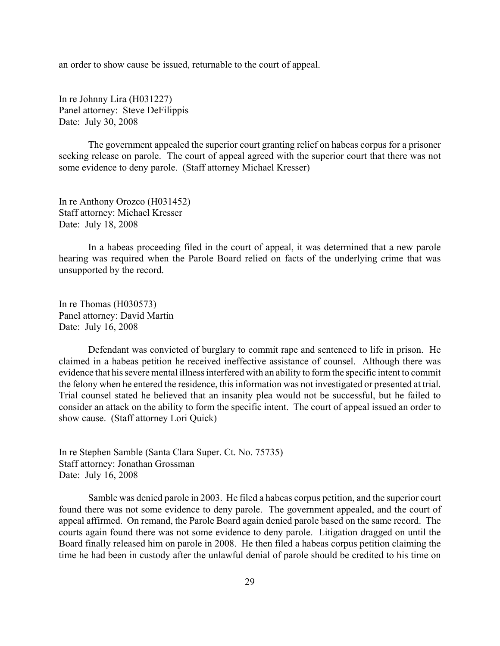an order to show cause be issued, returnable to the court of appeal.

In re Johnny Lira (H031227) Panel attorney: Steve DeFilippis Date: July 30, 2008

The government appealed the superior court granting relief on habeas corpus for a prisoner seeking release on parole. The court of appeal agreed with the superior court that there was not some evidence to deny parole. (Staff attorney Michael Kresser)

In re Anthony Orozco (H031452) Staff attorney: Michael Kresser Date: July 18, 2008

In a habeas proceeding filed in the court of appeal, it was determined that a new parole hearing was required when the Parole Board relied on facts of the underlying crime that was unsupported by the record.

In re Thomas (H030573) Panel attorney: David Martin Date: July 16, 2008

Defendant was convicted of burglary to commit rape and sentenced to life in prison. He claimed in a habeas petition he received ineffective assistance of counsel. Although there was evidence that his severe mental illness interfered with an ability to form the specific intent to commit the felony when he entered the residence, this information was not investigated or presented at trial. Trial counsel stated he believed that an insanity plea would not be successful, but he failed to consider an attack on the ability to form the specific intent. The court of appeal issued an order to show cause. (Staff attorney Lori Quick)

In re Stephen Samble (Santa Clara Super. Ct. No. 75735) Staff attorney: Jonathan Grossman Date: July 16, 2008

Samble was denied parole in 2003. He filed a habeas corpus petition, and the superior court found there was not some evidence to deny parole. The government appealed, and the court of appeal affirmed. On remand, the Parole Board again denied parole based on the same record. The courts again found there was not some evidence to deny parole. Litigation dragged on until the Board finally released him on parole in 2008. He then filed a habeas corpus petition claiming the time he had been in custody after the unlawful denial of parole should be credited to his time on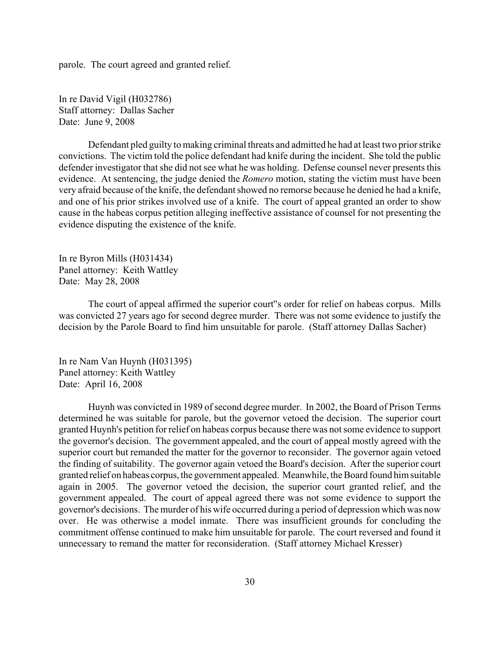parole. The court agreed and granted relief.

In re David Vigil (H032786) Staff attorney: Dallas Sacher Date: June 9, 2008

Defendant pled guilty to making criminal threats and admitted he had at least two prior strike convictions. The victim told the police defendant had knife during the incident. She told the public defender investigator that she did not see what he was holding. Defense counsel never presents this evidence. At sentencing, the judge denied the *Romero* motion, stating the victim must have been very afraid because of the knife, the defendant showed no remorse because he denied he had a knife, and one of his prior strikes involved use of a knife. The court of appeal granted an order to show cause in the habeas corpus petition alleging ineffective assistance of counsel for not presenting the evidence disputing the existence of the knife.

In re Byron Mills (H031434) Panel attorney: Keith Wattley Date: May 28, 2008

The court of appeal affirmed the superior court''s order for relief on habeas corpus. Mills was convicted 27 years ago for second degree murder. There was not some evidence to justify the decision by the Parole Board to find him unsuitable for parole. (Staff attorney Dallas Sacher)

In re Nam Van Huynh (H031395) Panel attorney: Keith Wattley Date: April 16, 2008

Huynh was convicted in 1989 of second degree murder. In 2002, the Board of Prison Terms determined he was suitable for parole, but the governor vetoed the decision. The superior court granted Huynh's petition for relief on habeas corpus because there was not some evidence to support the governor's decision. The government appealed, and the court of appeal mostly agreed with the superior court but remanded the matter for the governor to reconsider. The governor again vetoed the finding of suitability. The governor again vetoed the Board's decision. After the superior court granted relief on habeas corpus, the government appealed. Meanwhile, the Board found him suitable again in 2005. The governor vetoed the decision, the superior court granted relief, and the government appealed. The court of appeal agreed there was not some evidence to support the governor's decisions. The murder of his wife occurred during a period of depression which was now over. He was otherwise a model inmate. There was insufficient grounds for concluding the commitment offense continued to make him unsuitable for parole. The court reversed and found it unnecessary to remand the matter for reconsideration. (Staff attorney Michael Kresser)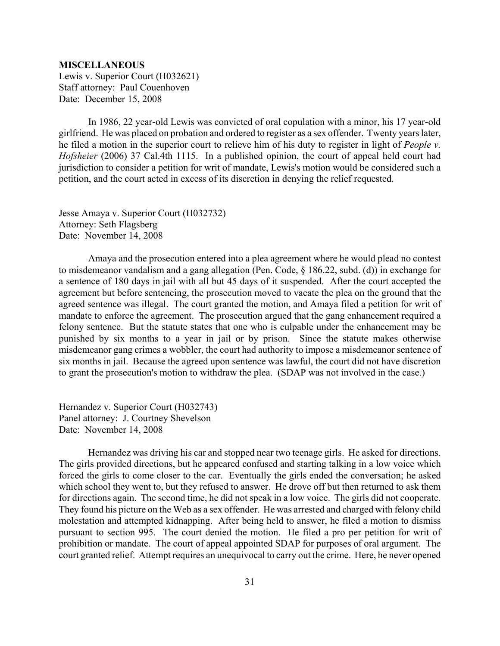#### <span id="page-30-0"></span>**MISCELLANEOUS**

Lewis v. Superior Court (H032621) Staff attorney: Paul Couenhoven Date: December 15, 2008

In 1986, 22 year-old Lewis was convicted of oral copulation with a minor, his 17 year-old girlfriend. He was placed on probation and ordered to register as a sex offender. Twenty years later, he filed a motion in the superior court to relieve him of his duty to register in light of *People v. Hofsheier* (2006) 37 Cal.4th 1115. In a published opinion, the court of appeal held court had jurisdiction to consider a petition for writ of mandate, Lewis's motion would be considered such a petition, and the court acted in excess of its discretion in denying the relief requested.

Jesse Amaya v. Superior Court (H032732) Attorney: Seth Flagsberg Date: November 14, 2008

Amaya and the prosecution entered into a plea agreement where he would plead no contest to misdemeanor vandalism and a gang allegation (Pen. Code, § 186.22, subd. (d)) in exchange for a sentence of 180 days in jail with all but 45 days of it suspended. After the court accepted the agreement but before sentencing, the prosecution moved to vacate the plea on the ground that the agreed sentence was illegal. The court granted the motion, and Amaya filed a petition for writ of mandate to enforce the agreement. The prosecution argued that the gang enhancement required a felony sentence. But the statute states that one who is culpable under the enhancement may be punished by six months to a year in jail or by prison. Since the statute makes otherwise misdemeanor gang crimes a wobbler, the court had authority to impose a misdemeanor sentence of six months in jail. Because the agreed upon sentence was lawful, the court did not have discretion to grant the prosecution's motion to withdraw the plea. (SDAP was not involved in the case.)

Hernandez v. Superior Court (H032743) Panel attorney: J. Courtney Shevelson Date: November 14, 2008

Hernandez was driving his car and stopped near two teenage girls. He asked for directions. The girls provided directions, but he appeared confused and starting talking in a low voice which forced the girls to come closer to the car. Eventually the girls ended the conversation; he asked which school they went to, but they refused to answer. He drove off but then returned to ask them for directions again. The second time, he did not speak in a low voice. The girls did not cooperate. They found his picture on the Web as a sex offender. He was arrested and charged with felony child molestation and attempted kidnapping. After being held to answer, he filed a motion to dismiss pursuant to section 995. The court denied the motion. He filed a pro per petition for writ of prohibition or mandate. The court of appeal appointed SDAP for purposes of oral argument. The court granted relief. Attempt requires an unequivocal to carry out the crime. Here, he never opened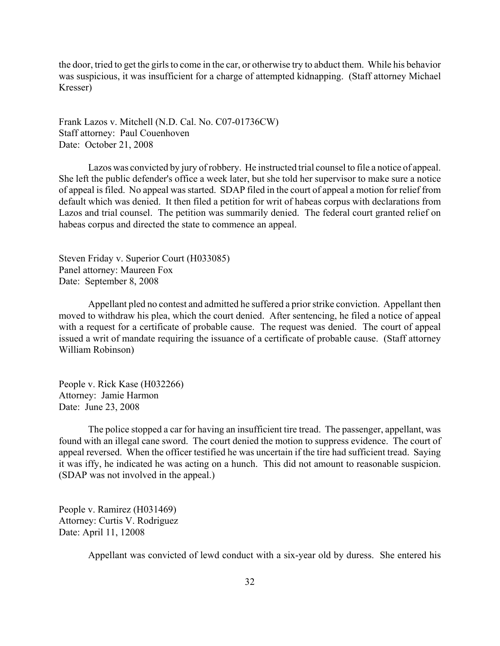the door, tried to get the girls to come in the car, or otherwise try to abduct them. While his behavior was suspicious, it was insufficient for a charge of attempted kidnapping. (Staff attorney Michael Kresser)

Frank Lazos v. Mitchell (N.D. Cal. No. C07-01736CW) Staff attorney: Paul Couenhoven Date: October 21, 2008

Lazos was convicted by jury of robbery. He instructed trial counsel to file a notice of appeal. She left the public defender's office a week later, but she told her supervisor to make sure a notice of appeal is filed. No appeal was started. SDAP filed in the court of appeal a motion for relief from default which was denied. It then filed a petition for writ of habeas corpus with declarations from Lazos and trial counsel. The petition was summarily denied. The federal court granted relief on habeas corpus and directed the state to commence an appeal.

Steven Friday v. Superior Court (H033085) Panel attorney: Maureen Fox Date: September 8, 2008

Appellant pled no contest and admitted he suffered a prior strike conviction. Appellant then moved to withdraw his plea, which the court denied. After sentencing, he filed a notice of appeal with a request for a certificate of probable cause. The request was denied. The court of appeal issued a writ of mandate requiring the issuance of a certificate of probable cause. (Staff attorney William Robinson)

People v. Rick Kase (H032266) Attorney: Jamie Harmon Date: June 23, 2008

The police stopped a car for having an insufficient tire tread. The passenger, appellant, was found with an illegal cane sword. The court denied the motion to suppress evidence. The court of appeal reversed. When the officer testified he was uncertain if the tire had sufficient tread. Saying it was iffy, he indicated he was acting on a hunch. This did not amount to reasonable suspicion. (SDAP was not involved in the appeal.)

People v. Ramirez (H031469) Attorney: Curtis V. Rodriguez Date: April 11, 12008

Appellant was convicted of lewd conduct with a six-year old by duress. She entered his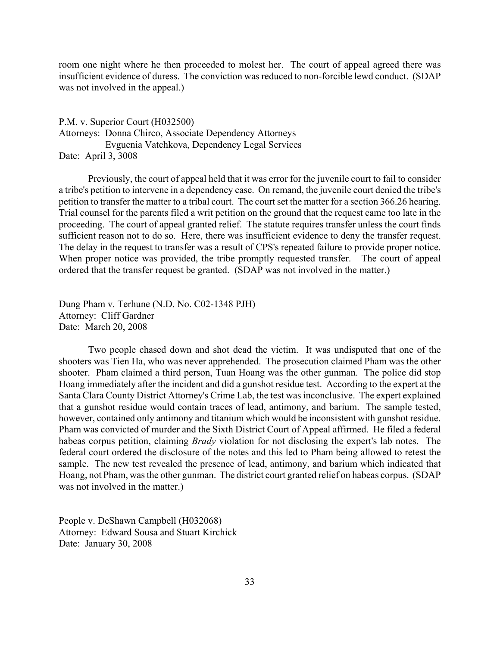room one night where he then proceeded to molest her. The court of appeal agreed there was insufficient evidence of duress. The conviction was reduced to non-forcible lewd conduct. (SDAP was not involved in the appeal.)

P.M. v. Superior Court (H032500) Attorneys: Donna Chirco, Associate Dependency Attorneys Evguenia Vatchkova, Dependency Legal Services Date: April 3, 3008

Previously, the court of appeal held that it was error for the juvenile court to fail to consider a tribe's petition to intervene in a dependency case. On remand, the juvenile court denied the tribe's petition to transfer the matter to a tribal court. The court set the matter for a section 366.26 hearing. Trial counsel for the parents filed a writ petition on the ground that the request came too late in the proceeding. The court of appeal granted relief. The statute requires transfer unless the court finds sufficient reason not to do so. Here, there was insufficient evidence to deny the transfer request. The delay in the request to transfer was a result of CPS's repeated failure to provide proper notice. When proper notice was provided, the tribe promptly requested transfer. The court of appeal ordered that the transfer request be granted. (SDAP was not involved in the matter.)

Dung Pham v. Terhune (N.D. No. C02-1348 PJH) Attorney: Cliff Gardner Date: March 20, 2008

Two people chased down and shot dead the victim. It was undisputed that one of the shooters was Tien Ha, who was never apprehended. The prosecution claimed Pham was the other shooter. Pham claimed a third person, Tuan Hoang was the other gunman. The police did stop Hoang immediately after the incident and did a gunshot residue test. According to the expert at the Santa Clara County District Attorney's Crime Lab, the test was inconclusive. The expert explained that a gunshot residue would contain traces of lead, antimony, and barium. The sample tested, however, contained only antimony and titanium which would be inconsistent with gunshot residue. Pham was convicted of murder and the Sixth District Court of Appeal affirmed. He filed a federal habeas corpus petition, claiming *Brady* violation for not disclosing the expert's lab notes. The federal court ordered the disclosure of the notes and this led to Pham being allowed to retest the sample. The new test revealed the presence of lead, antimony, and barium which indicated that Hoang, not Pham, was the other gunman. The district court granted relief on habeas corpus. (SDAP was not involved in the matter.)

People v. DeShawn Campbell (H032068) Attorney: Edward Sousa and Stuart Kirchick Date: January 30, 2008